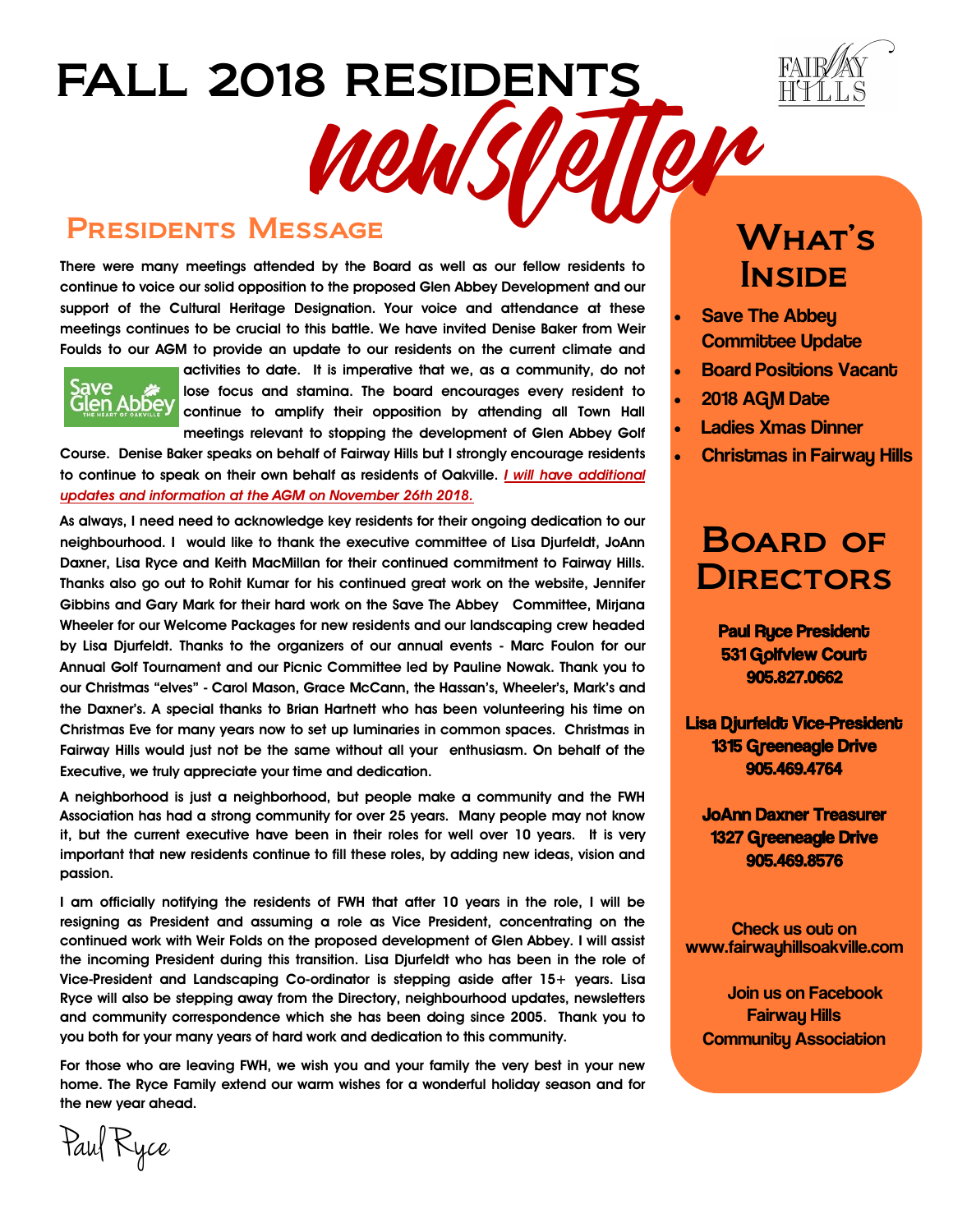

#### Presidents Message

**There were many meetings attended by the Board as well as our fellow residents to continue to voice our solid opposition to the proposed Glen Abbey Development and our support of the Cultural Heritage Designation. Your voice and attendance at these meetings continues to be crucial to this battle. We have invited Denise Baker from Weir Foulds to our AGM to provide an update to our residents on the current climate and** 

FALL 2018 RESIDENTS

WOW



**activities to date. It is imperative that we, as a community, do not lose focus and stamina. The board encourages every resident to continue to amplify their opposition by attending all Town Hall meetings relevant to stopping the development of Glen Abbey Golf** 

**Course. Denise Baker speaks on behalf of Fairway Hills but I strongly encourage residents to continue to speak on their own behalf as residents of Oakville.** *I will have additional updates and information at the AGM on November 26th 2018.* 

**As always, I need need to acknowledge key residents for their ongoing dedication to our neighbourhood. I would like to thank the executive committee of Lisa Djurfeldt, JoAnn Daxner, Lisa Ryce and Keith MacMillan for their continued commitment to Fairway Hills. Thanks also go out to Rohit Kumar for his continued great work on the website, Jennifer Gibbins and Gary Mark for their hard work on the Save The Abbey Committee, Mirjana Wheeler for our Welcome Packages for new residents and our landscaping crew headed by Lisa Djurfeldt. Thanks to the organizers of our annual events - Marc Foulon for our Annual Golf Tournament and our Picnic Committee led by Pauline Nowak. Thank you to our Christmas "elves" - Carol Mason, Grace McCann, the Hassan's, Wheeler's, Mark's and the Daxner's. A special thanks to Brian Hartnett who has been volunteering his time on Christmas Eve for many years now to set up luminaries in common spaces. Christmas in Fairway Hills would just not be the same without all your enthusiasm. On behalf of the Executive, we truly appreciate your time and dedication.** 

**A neighborhood is just a neighborhood, but people make a community and the FWH Association has had a strong community for over 25 years. Many people may not know it, but the current executive have been in their roles for well over 10 years. It is very important that new residents continue to fill these roles, by adding new ideas, vision and passion.** 

**I am officially notifying the residents of FWH that after 10 years in the role, I will be resigning as President and assuming a role as Vice President, concentrating on the continued work with Weir Folds on the proposed development of Glen Abbey. I will assist the incoming President during this transition. Lisa Djurfeldt who has been in the role of Vice-President and Landscaping Co-ordinator is stepping aside after 15+ years. Lisa Ryce will also be stepping away from the Directory, neighbourhood updates, newsletters and community correspondence which she has been doing since 2005. Thank you to you both for your many years of hard work and dedication to this community.** 

**For those who are leaving FWH, we wish you and your family the very best in your new home. The Ryce Family extend our warm wishes for a wonderful holiday season and for the new year ahead.** 

## What's **INSIDE**

- Save The Abbey Committee Update
- Board Positions Vacant
- 2018 AGM Date

OVR

- Ladies Xmas Dinner
- Christmas in Fairway Hills

### Board of **DIRECTORS**

 Paul Ryce President 531 Golfview Court 905.827.0662

Lisa Djurfeldt Vice-President 1315 Greeneagle Drive 905.469.4764

JoAnn Daxner Treasurer 1327 Greeneagle Drive 905.469.8576

Check us out on www.fairwayhillsoakville.com

 Join us on Facebook Fairway Hills **Community Association** 

Paul Ryce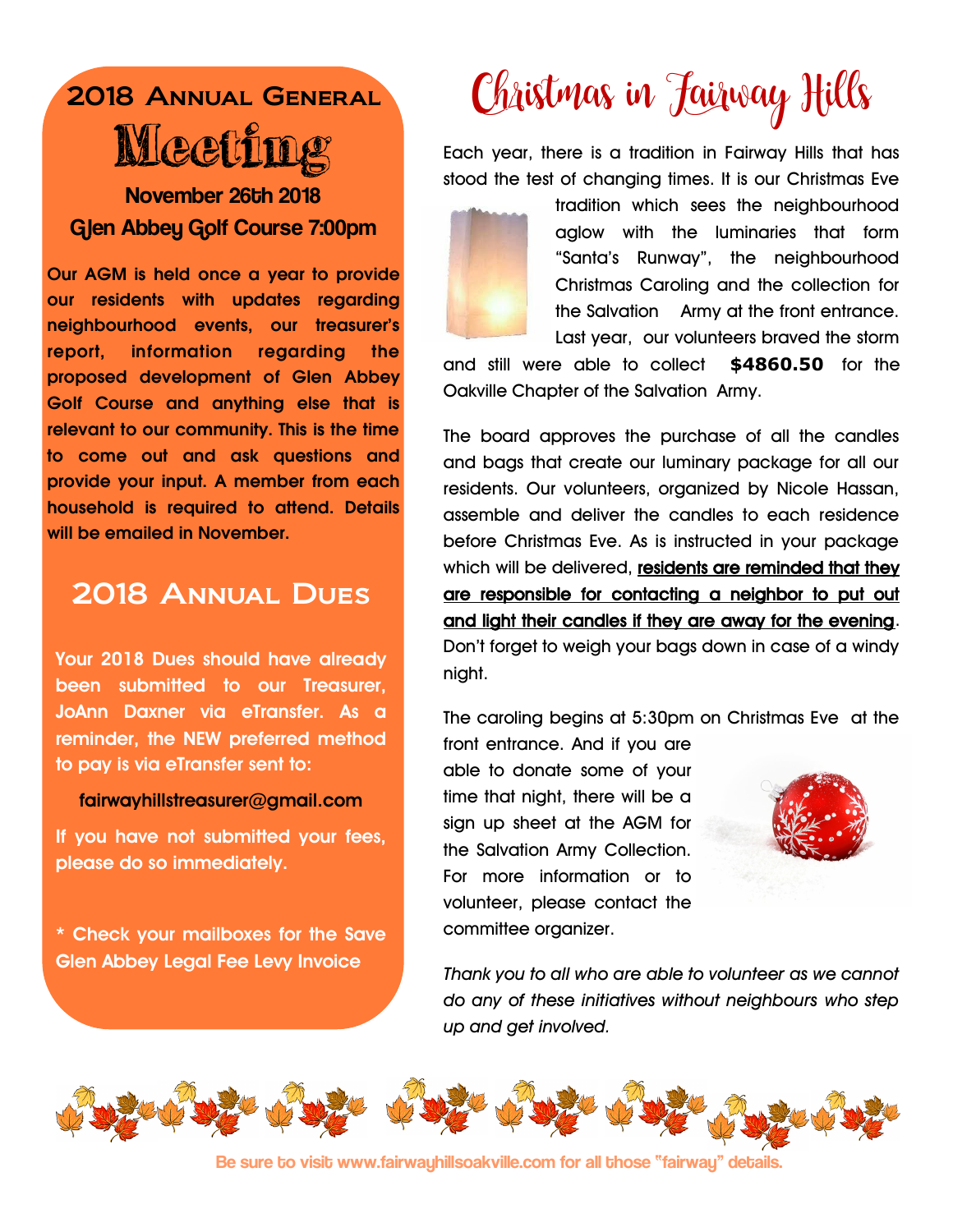# 2018 Annual General Meeting November 26th 2018

Glen Abbey Golf Course 7:00pm

**Our AGM is held once a year to provide our residents with updates regarding neighbourhood events, our treasurer's report, information regarding the proposed development of Glen Abbey Golf Course and anything else that is relevant to our community. This is the time to come out and ask questions and provide your input. A member from each household is required to attend. Details will be emailed in November.** 

### 2018 Annual Dues

**Your 2018 Dues should have already been submitted to our Treasurer, JoAnn Daxner via eTransfer. As a reminder, the NEW preferred method to pay is via eTransfer sent to:**

#### **fairwayhillstreasurer@gmail.com**

**If you have not submitted your fees, please do so immediately.** 

**\* Check your mailboxes for the Save Glen Abbey Legal Fee Levy Invoice** 

# Christmas in Jairway Hills

Each year, there is a tradition in Fairway Hills that has stood the test of changing times. It is our Christmas Eve



tradition which sees the neighbourhood aglow with the luminaries that form "Santa's Runway", the neighbourhood Christmas Caroling and the collection for the Salvation Army at the front entrance. Last year, our volunteers braved the storm

and still were able to collect **\$4860.50** for the Oakville Chapter of the Salvation Army.

The board approves the purchase of all the candles and bags that create our luminary package for all our residents. Our volunteers, organized by Nicole Hassan, assemble and deliver the candles to each residence before Christmas Eve. As is instructed in your package which will be delivered, residents are reminded that they are responsible for contacting a neighbor to put out and light their candles if they are away for the evening. Don't forget to weigh your bags down in case of a windy night.

The caroling begins at 5:30pm on Christmas Eve at the

front entrance. And if you are able to donate some of your time that night, there will be a sign up sheet at the AGM for the Salvation Army Collection. For more information or to volunteer, please contact the committee organizer.



*Thank you to all who are able to volunteer as we cannot do any of these initiatives without neighbours who step up and get involved.* 



Be sure to visit www.fairwayhillsoakville.com for all those "fairway" details.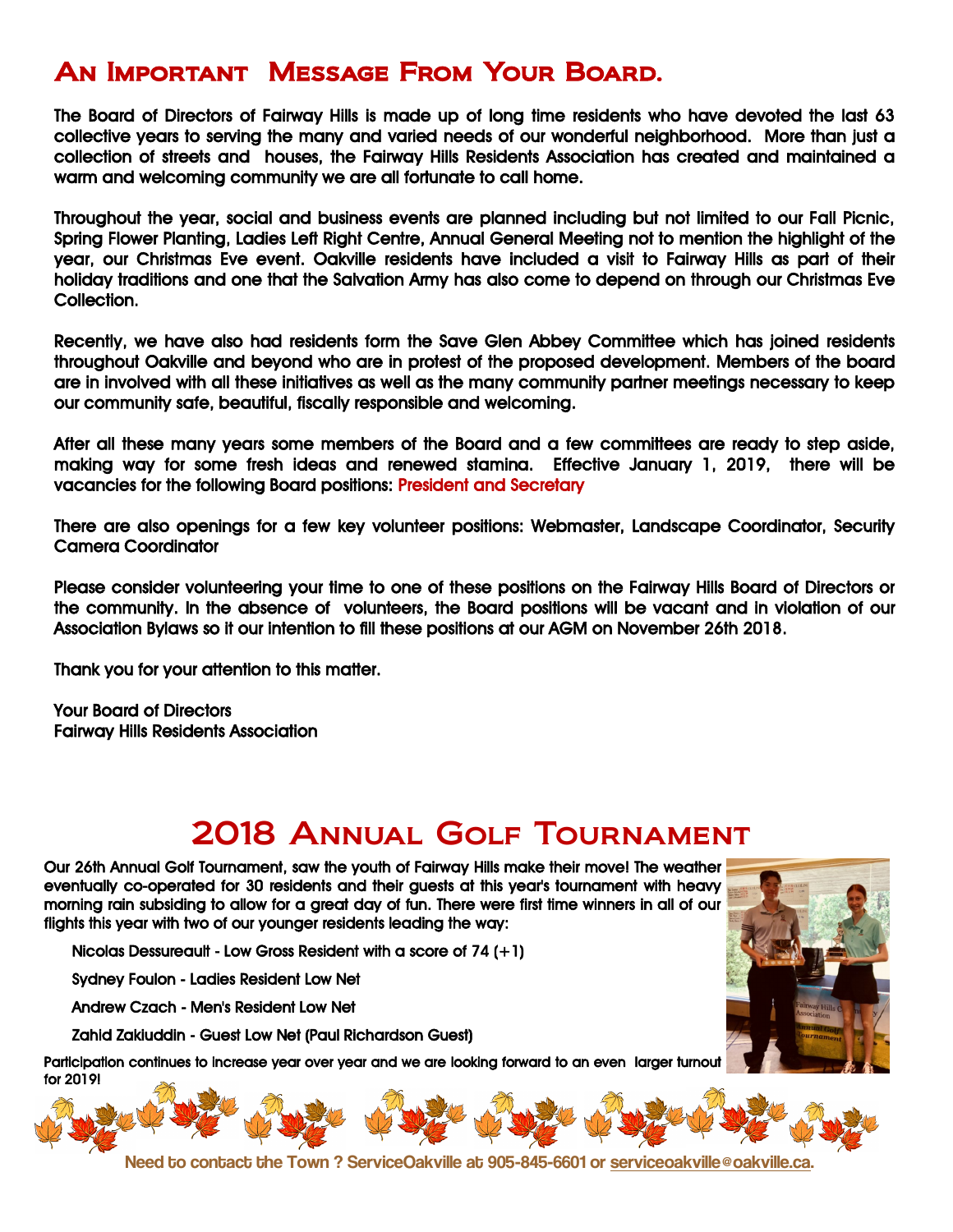### An Important Message From Your Board.

The Board of Directors of Fairway Hills is made up of long time residents who have devoted the last 63 collective years to serving the many and varied needs of our wonderful neighborhood. More than just a collection of streets and houses, the Fairway Hills Residents Association has created and maintained a warm and welcoming community we are all fortunate to call home.

Throughout the year, social and business events are planned including but not limited to our Fall Picnic, Spring Flower Planting, Ladies Left Right Centre, Annual General Meeting not to mention the highlight of the year, our Christmas Eve event. Oakville residents have included a visit to Fairway Hills as part of their holiday traditions and one that the Salvation Army has also come to depend on through our Christmas Eve Collection.

Recently, we have also had residents form the Save Glen Abbey Committee which has joined residents throughout Oakville and beyond who are in protest of the proposed development. Members of the board are in involved with all these initiatives as well as the many community partner meetings necessary to keep our community safe, beautiful, fiscally responsible and welcoming.

After all these many years some members of the Board and a few committees are ready to step aside, making way for some fresh ideas and renewed stamina. Effective January 1, 2019, there will be vacancies for the following Board positions: President and Secretary

There are also openings for a few key volunteer positions: Webmaster, Landscape Coordinator, Security Camera Coordinator

Please consider volunteering your time to one of these positions on the Fairway Hills Board of Directors or the community. In the absence of volunteers, the Board positions will be vacant and in violation of our Association Bylaws so it our intention to fill these positions at our AGM on November 26th 2018.

Thank you for your attention to this matter.

Your Board of Directors Fairway Hills Residents Association

### 2018 Annual Golf Tournament

Our 26th Annual Golf Tournament, saw the youth of Fairway Hills make their move! The weather eventually co-operated for 30 residents and their guests at this year's tournament with heavy morning rain subsiding to allow for a great day of fun. There were first time winners in all of our flights this year with two of our younger residents leading the way:

Nicolas Dessureault - Low Gross Resident with a score of 74 (+1)

Sydney Foulon - Ladies Resident Low Net

Andrew Czach - Men's Resident Low Net

Zahid Zakiuddin - Guest Low Net (Paul Richardson Guest)

Participation continues to increase year over year and we are looking forward to an even larger turnout for 2019!



Need to contact the Town ? ServiceOakville at 905-845-6601 or [serviceoakville@oakville.ca.](mailto:serviceoakville@oakville.ca)